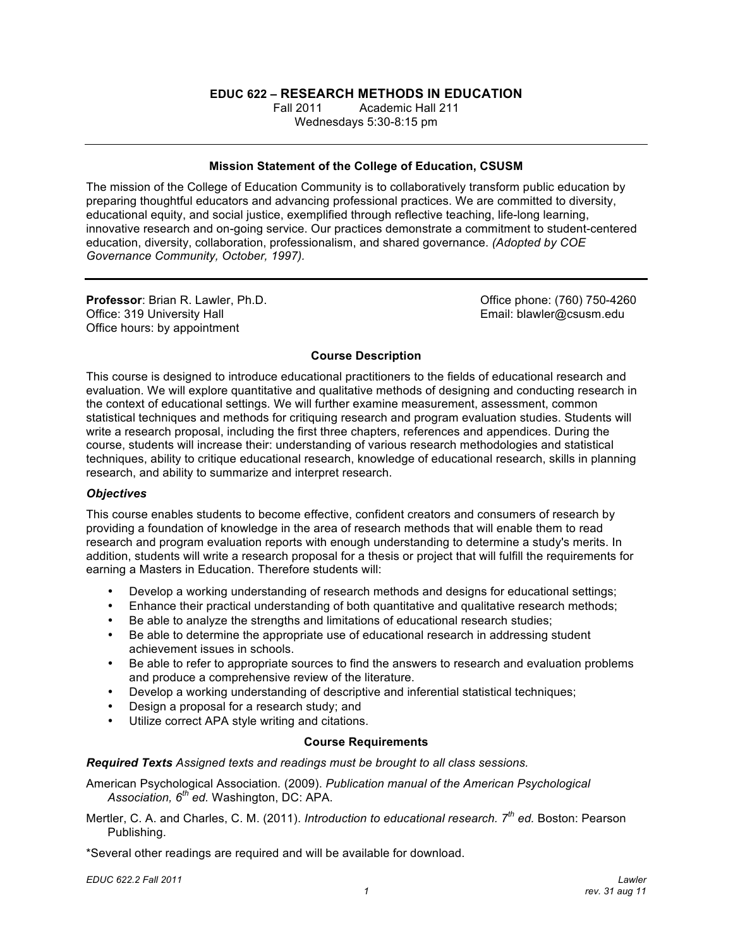# **EDUC 622 – RESEARCH METHODS IN EDUCATION**

**Fall 2011**  Wednesdays 5:30-8:15 pm Fall 2011 Academic Hall 211

#### **Mission Statement of the College of Education, CSUSM**

 The mission of the College of Education Community is to collaboratively transform public education by preparing thoughtful educators and advancing professional practices. We are committed to diversity, educational equity, and social justice, exemplified through reflective teaching, life-long learning, innovative research and on-going service. Our practices demonstrate a commitment to student-centered education, diversity, collaboration, professionalism, and shared governance. *(Adopted by COE Governance Community, October, 1997).* 

Office: 319 University Hall Office hours: by appointment **Professor: Brian R. Lawler, Ph.D.** 

Office phone: (760) 750-4260 Email: blawler@csusm.edu

# **Course Description**

 This course is designed to introduce educational practitioners to the fields of educational research and evaluation. We will explore quantitative and qualitative methods of designing and conducting research in statistical techniques and methods for critiquing research and program evaluation studies. Students will write a research proposal, including the first three chapters, references and appendices. During the course, students will increase their: understanding of various research methodologies and statistical research, and ability to summarize and interpret research. the context of educational settings. We will further examine measurement, assessment, common techniques, ability to critique educational research, knowledge of educational research, skills in planning

#### *Objectives*

 This course enables students to become effective, confident creators and consumers of research by providing a foundation of knowledge in the area of research methods that will enable them to read research and program evaluation reports with enough understanding to determine a study's merits. In addition, students will write a research proposal for a thesis or project that will fulfill the requirements for earning a Masters in Education. Therefore students will:

- Develop a working understanding of research methods and designs for educational settings;
- Enhance their practical understanding of both quantitative and qualitative research methods;
- Be able to analyze the strengths and limitations of educational research studies;
- Be able to determine the appropriate use of educational research in addressing student achievement issues in schools.
- Be able to refer to appropriate sources to find the answers to research and evaluation problems and produce a comprehensive review of the literature.
- Develop a working understanding of descriptive and inferential statistical techniques;
- Design a proposal for a research study; and
- • Utilize correct APA style writing and citations.

#### **Course Requirements**

 *Required Texts Assigned texts and readings must be brought to all class sessions.* 

 American Psychological Association*.* (2009). *Publication manual of the American Psychological Association, 6th ed.* Washington, DC: APA.

 Mertler, C. A. and Charles, C. M. (2011). *Introduction to educational research. 7th ed.* Boston: Pearson Publishing.

\*Several other readings are required and will be available for download.

 *EDUC 622.2 Fall 2011 Lawler*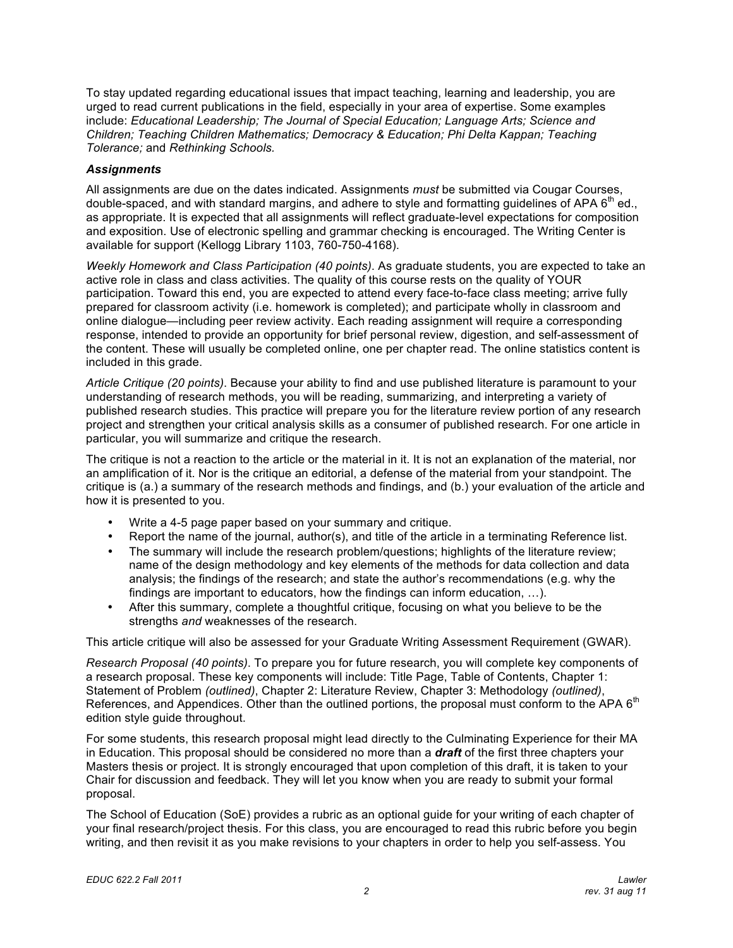To stay updated regarding educational issues that impact teaching, learning and leadership, you are urged to read current publications in the field, especially in your area of expertise. Some examples  include: *Educational Leadership; The Journal of Special Education; Language Arts; Science and Children; Teaching Children Mathematics; Democracy & Education; Phi Delta Kappan; Teaching Tolerance;* and *Rethinking Schools.* 

# *Assignments*

 All assignments are due on the dates indicated. Assignments *must* be submitted via Cougar Courses, double-spaced, and with standard margins, and adhere to style and formatting guidelines of APA  $6<sup>th</sup>$  ed., as appropriate. It is expected that all assignments will reflect graduate-level expectations for composition and exposition. Use of electronic spelling and grammar checking is encouraged. The Writing Center is available for support (Kellogg Library 1103, 760-750-4168).

 *Weekly Homework and Class Participation (40 points)*. As graduate students, you are expected to take an active role in class and class activities. The quality of this course rests on the quality of YOUR participation. Toward this end, you are expected to attend every face-to-face class meeting; arrive fully prepared for classroom activity (i.e. homework is completed); and participate wholly in classroom and online dialogue—including peer review activity. Each reading assignment will require a corresponding response, intended to provide an opportunity for brief personal review, digestion, and self-assessment of the content. These will usually be completed online, one per chapter read. The online statistics content is included in this grade.

 *Article Critique (20 points)*. Because your ability to find and use published literature is paramount to your understanding of research methods, you will be reading, summarizing, and interpreting a variety of project and strengthen your critical analysis skills as a consumer of published research. For one article in particular, you will summarize and critique the research. published research studies. This practice will prepare you for the literature review portion of any research

 The critique is not a reaction to the article or the material in it. It is not an explanation of the material, nor an amplification of it. Nor is the critique an editorial, a defense of the material from your standpoint. The critique is (a.) a summary of the research methods and findings, and (b.) your evaluation of the article and how it is presented to you.

- Write a 4-5 page paper based on your summary and critique.
- Report the name of the journal, author(s), and title of the article in a terminating Reference list.
- The summary will include the research problem/questions; highlights of the literature review; name of the design methodology and key elements of the methods for data collection and data analysis; the findings of the research; and state the author's recommendations (e.g. why the findings are important to educators, how the findings can inform education, …).
- After this summary, complete a thoughtful critique, focusing on what you believe to be the strengths *and* weaknesses of the research.

This article critique will also be assessed for your Graduate Writing Assessment Requirement (GWAR).

 *Research Proposal (40 points)*. To prepare you for future research, you will complete key components of a research proposal. These key components will include: Title Page, Table of Contents, Chapter 1: Statement of Problem *(outlined)*, Chapter 2: Literature Review, Chapter 3: Methodology *(outlined)*, References, and Appendices. Other than the outlined portions, the proposal must conform to the APA 6<sup>th</sup> edition style guide throughout.

 For some students, this research proposal might lead directly to the Culminating Experience for their MA in Education. This proposal should be considered no more than a *draft* of the first three chapters your Masters thesis or project. It is strongly encouraged that upon completion of this draft, it is taken to your Chair for discussion and feedback. They will let you know when you are ready to submit your formal proposal.

 The School of Education (SoE) provides a rubric as an optional guide for your writing of each chapter of your final research/project thesis. For this class, you are encouraged to read this rubric before you begin writing, and then revisit it as you make revisions to your chapters in order to help you self-assess. You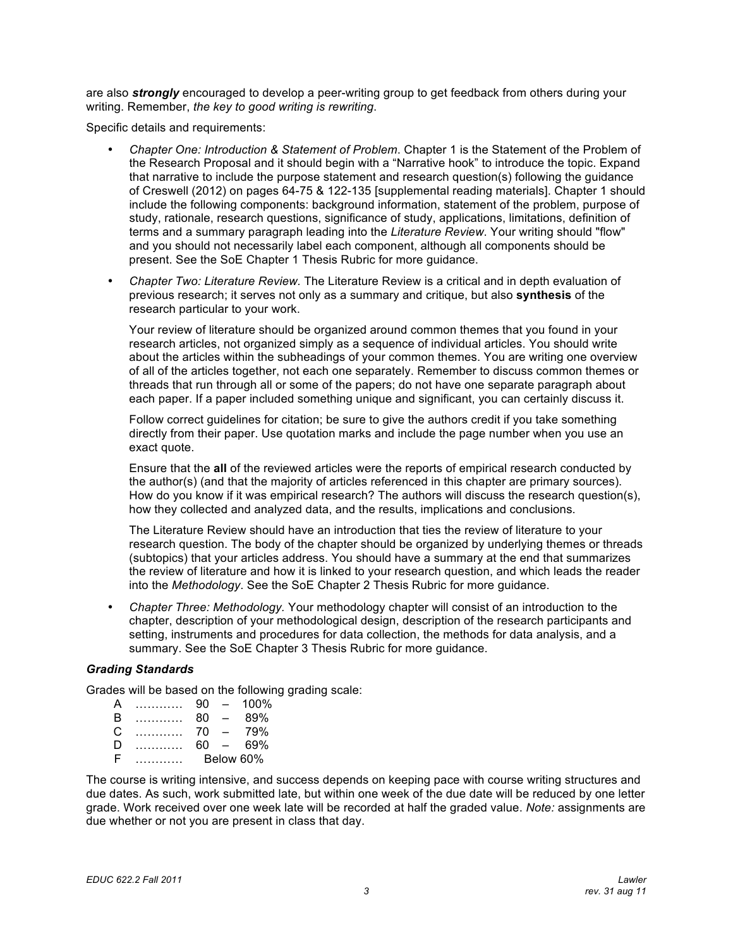are also *strongly* encouraged to develop a peer-writing group to get feedback from others during your writing. Remember, *the key to good writing is rewriting*.

Specific details and requirements:

- Chapter One: Introduction & Statement of Problem. Chapter 1 is the Statement of the Problem of the Research Proposal and it should begin with a "Narrative hook" to introduce the topic. Expand of Creswell (2012) on pages 64-75 & 122-135 [supplemental reading materials]. Chapter 1 should include the following components: background information, statement of the problem, purpose of study, rationale, research questions, significance of study, applications, limitations, definition of and you should not necessarily label each component, although all components should be present. See the SoE Chapter 1 Thesis Rubric for more guidance. that narrative to include the purpose statement and research question(s) following the guidance terms and a summary paragraph leading into the *Literature Review*. Your writing should "flow"
- Chapter Two: Literature Review. The Literature Review is a critical and in depth evaluation of previous research; it serves not only as a summary and critique, but also **synthesis** of the research particular to your work.

 Your review of literature should be organized around common themes that you found in your research articles, not organized simply as a sequence of individual articles. You should write about the articles within the subheadings of your common themes. You are writing one overview of all of the articles together, not each one separately. Remember to discuss common themes or each paper. If a paper included something unique and significant, you can certainly discuss it. threads that run through all or some of the papers; do not have one separate paragraph about

 Follow correct guidelines for citation; be sure to give the authors credit if you take something directly from their paper. Use quotation marks and include the page number when you use an exact quote.

 Ensure that the **all** of the reviewed articles were the reports of empirical research conducted by the author(s) (and that the majority of articles referenced in this chapter are primary sources). How do you know if it was empirical research? The authors will discuss the research question(s), how they collected and analyzed data, and the results, implications and conclusions.

 The Literature Review should have an introduction that ties the review of literature to your research question. The body of the chapter should be organized by underlying themes or threads (subtopics) that your articles address. You should have a summary at the end that summarizes into the *Methodology*. See the SoE Chapter 2 Thesis Rubric for more guidance. the review of literature and how it is linked to your research question, and which leads the reader

• Chapter Three: Methodology. Your methodology chapter will consist of an introduction to the summary. See the SoE Chapter 3 Thesis Rubric for more guidance. chapter, description of your methodological design, description of the research participants and setting, instruments and procedures for data collection, the methods for data analysis, and a

# *Grading Standards*

Grades will be based on the following grading scale:

| A  | . | 90        | $\overline{\phantom{0}}$ | $100\%$ |
|----|---|-----------|--------------------------|---------|
| B  | . | 80        | $\sim$                   | 89%     |
| C  | . | 70        | $\overline{\phantom{0}}$ | 79%     |
| Ð  |   | 60        | $\sim$                   | 69%     |
| F. |   | Below 60% |                          |         |

 The course is writing intensive, and success depends on keeping pace with course writing structures and due dates. As such, work submitted late, but within one week of the due date will be reduced by one letter grade. Work received over one week late will be recorded at half the graded value. *Note:* assignments are due whether or not you are present in class that day.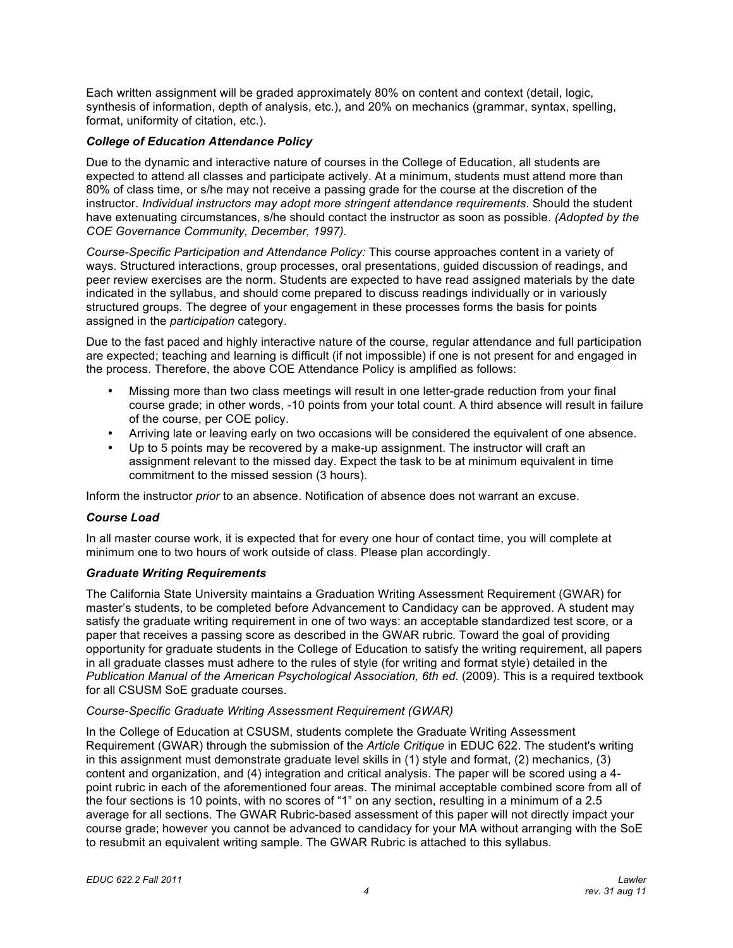Each written assignment will be graded approximately 80% on content and context (detail, logic, synthesis of information, depth of analysis, etc.), and 20% on mechanics (grammar, syntax, spelling, format, uniformity of citation, etc.).

# *College of Education Attendance Policy*

 Due to the dynamic and interactive nature of courses in the College of Education, all students are expected to attend all classes and participate actively. At a minimum, students must attend more than 80% of class time, or s/he may not receive a passing grade for the course at the discretion of the have extenuating circumstances, s/he should contact the instructor as soon as possible. *(Adopted by the COE Governance Community, December, 1997).*  instructor. *Individual instructors may adopt more stringent attendance requirements*. Should the student

 *Course-Specific Participation and Attendance Policy:* This course approaches content in a variety of ways. Structured interactions, group processes, oral presentations, guided discussion of readings, and peer review exercises are the norm. Students are expected to have read assigned materials by the date indicated in the syllabus, and should come prepared to discuss readings individually or in variously structured groups. The degree of your engagement in these processes forms the basis for points assigned in the *participation* category.

 Due to the fast paced and highly interactive nature of the course, regular attendance and full participation are expected; teaching and learning is difficult (if not impossible) if one is not present for and engaged in the process. Therefore, the above COE Attendance Policy is amplified as follows:

- Missing more than two class meetings will result in one letter-grade reduction from your final course grade; in other words, -10 points from your total count. A third absence will result in failure of the course, per COE policy.
- Arriving late or leaving early on two occasions will be considered the equivalent of one absence.
- Up to 5 points may be recovered by a make-up assignment. The instructor will craft an assignment relevant to the missed day. Expect the task to be at minimum equivalent in time commitment to the missed session (3 hours).

Inform the instructor *prior* to an absence. Notification of absence does not warrant an excuse.

#### *Course Load*

 minimum one to two hours of work outside of class. Please plan accordingly. In all master course work, it is expected that for every one hour of contact time, you will complete at

#### *Graduate Writing Requirements*

 The California State University maintains a Graduation Writing Assessment Requirement (GWAR) for master's students, to be completed before Advancement to Candidacy can be approved. A student may satisfy the graduate writing requirement in one of two ways: an acceptable standardized test score, or a paper that receives a passing score as described in the GWAR rubric. Toward the goal of providing opportunity for graduate students in the College of Education to satisfy the writing requirement, all papers in all graduate classes must adhere to the rules of style (for writing and format style) detailed in the Publication Manual of the American Psychological Association, 6th ed. (2009). This is a required textbook for all CSUSM SoE graduate courses.

#### *Course-Specific Graduate Writing Assessment Requirement (GWAR)*

 Requirement (GWAR) through the submission of the *Article Critique* in EDUC 622. The student's writing in this assignment must demonstrate graduate level skills in (1) style and format, (2) mechanics, (3) content and organization, and (4) integration and critical analysis. The paper will be scored using a 4- point rubric in each of the aforementioned four areas. The minimal acceptable combined score from all of average for all sections. The GWAR Rubric-based assessment of this paper will not directly impact your course grade; however you cannot be advanced to candidacy for your MA without arranging with the SoE  to resubmit an equivalent writing sample. The GWAR Rubric is attached to this syllabus. In the College of Education at CSUSM, students complete the Graduate Writing Assessment the four sections is 10 points, with no scores of "1" on any section, resulting in a minimum of a 2.5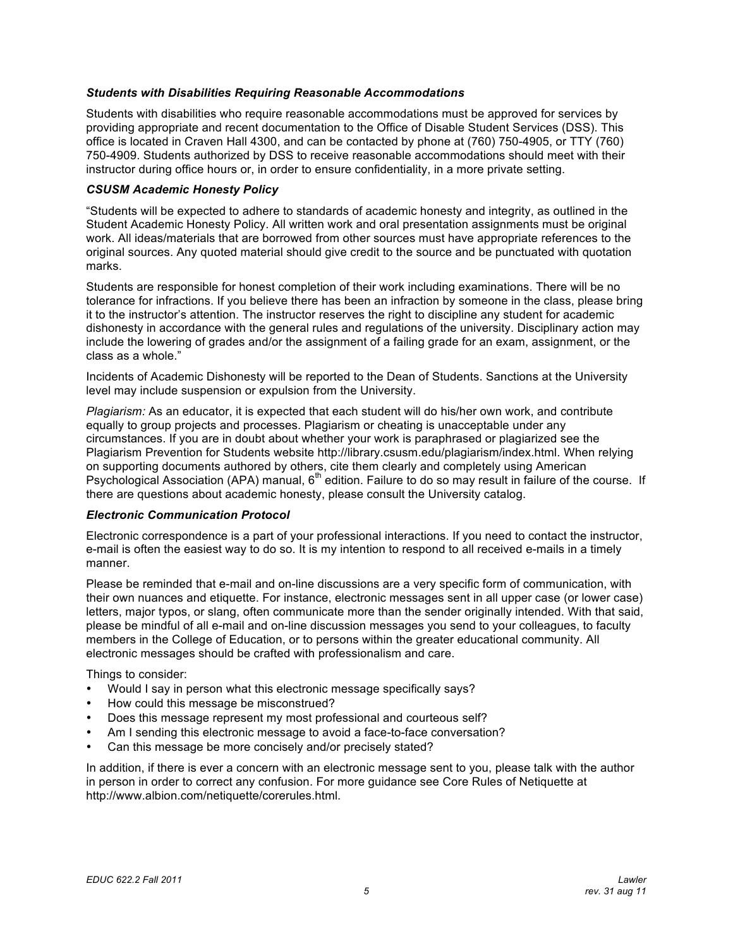## *Students with Disabilities Requiring Reasonable Accommodations*

 Students with disabilities who require reasonable accommodations must be approved for services by providing appropriate and recent documentation to the Office of Disable Student Services (DSS). This office is located in Craven Hall 4300, and can be contacted by phone at (760) 750-4905, or TTY (760) 750-4909. Students authorized by DSS to receive reasonable accommodations should meet with their instructor during office hours or, in order to ensure confidentiality, in a more private setting.

## *CSUSM Academic Honesty Policy*

 "Students will be expected to adhere to standards of academic honesty and integrity, as outlined in the Student Academic Honesty Policy. All written work and oral presentation assignments must be original work. All ideas/materials that are borrowed from other sources must have appropriate references to the original sources. Any quoted material should give credit to the source and be punctuated with quotation marks.

 Students are responsible for honest completion of their work including examinations. There will be no it to the instructor's attention. The instructor reserves the right to discipline any student for academic dishonesty in accordance with the general rules and regulations of the university. Disciplinary action may include the lowering of grades and/or the assignment of a failing grade for an exam, assignment, or the tolerance for infractions. If you believe there has been an infraction by someone in the class, please bring class as a whole."

 Incidents of Academic Dishonesty will be reported to the Dean of Students. Sanctions at the University level may include suspension or expulsion from the University.

 *Plagiarism:* As an educator, it is expected that each student will do his/her own work, and contribute equally to group projects and processes. Plagiarism or cheating is unacceptable under any circumstances. If you are in doubt about whether your work is paraphrased or plagiarized see the Plagiarism Prevention for Students website http://library.csusm.edu/plagiarism/index.html. When relying on supporting documents authored by others, cite them clearly and completely using American Psychological Association (APA) manual, 6<sup>th</sup> edition. Failure to do so may result in failure of the course. If there are questions about academic honesty, please consult the University catalog.

#### *Electronic Communication Protocol*

 Electronic correspondence is a part of your professional interactions. If you need to contact the instructor, e-mail is often the easiest way to do so. It is my intention to respond to all received e-mails in a timely manner.

 Please be reminded that e-mail and on-line discussions are a very specific form of communication, with their own nuances and etiquette. For instance, electronic messages sent in all upper case (or lower case) letters, major typos, or slang, often communicate more than the sender originally intended. With that said, please be mindful of all e-mail and on-line discussion messages you send to your colleagues, to faculty members in the College of Education, or to persons within the greater educational community. All electronic messages should be crafted with professionalism and care.

Things to consider:

- Would I say in person what this electronic message specifically says?
- How could this message be misconstrued?
- Does this message represent my most professional and courteous self?
- Am I sending this electronic message to avoid a face-to-face conversation?
- Can this message be more concisely and/or precisely stated?

 in person in order to correct any confusion. For more guidance see Core Rules of Netiquette at In addition, if there is ever a concern with an electronic message sent to you, please talk with the author http://www.albion.com/netiquette/corerules.html.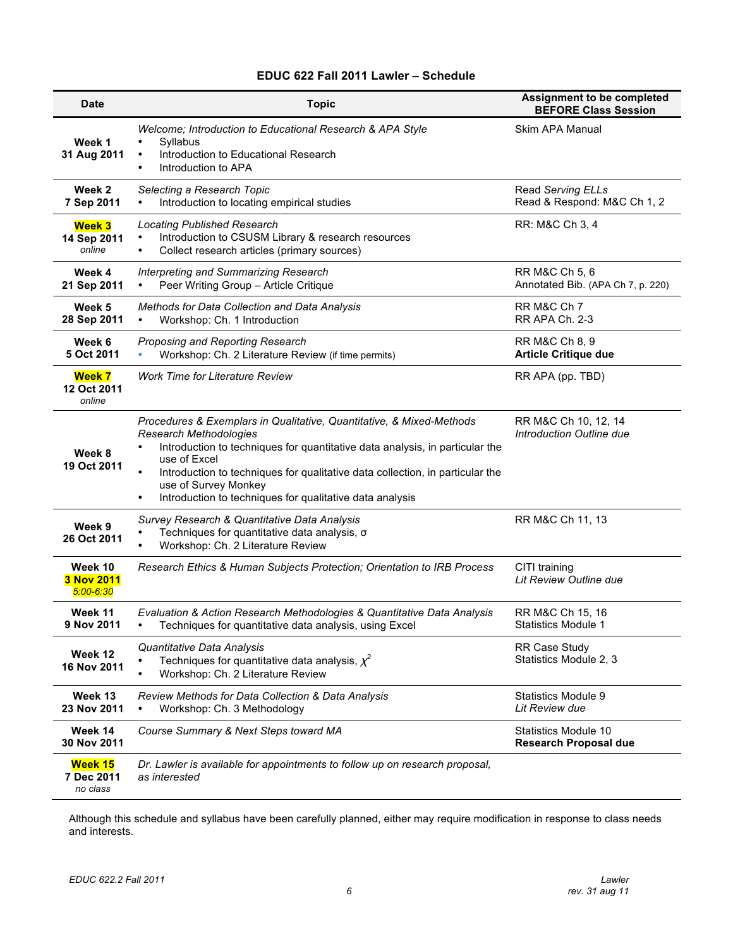#### **EDUC 622 Fall 2011 Lawler – Schedule**

| <b>Date</b>                            | <b>Topic</b>                                                                                                                                                                                                                                                                                                                                                                                         | Assignment to be completed<br><b>BEFORE Class Session</b> |
|----------------------------------------|------------------------------------------------------------------------------------------------------------------------------------------------------------------------------------------------------------------------------------------------------------------------------------------------------------------------------------------------------------------------------------------------------|-----------------------------------------------------------|
| Week 1<br>31 Aug 2011                  | Welcome; Introduction to Educational Research & APA Style<br>Syllabus<br>Introduction to Educational Research<br>$\bullet$<br>Introduction to APA                                                                                                                                                                                                                                                    | Skim APA Manual                                           |
| Week 2<br>7 Sep 2011                   | Selecting a Research Topic<br>Introduction to locating empirical studies                                                                                                                                                                                                                                                                                                                             | Read Serving ELLs<br>Read & Respond: M&C Ch 1, 2          |
| Week 3<br>14 Sep 2011<br>online        | <b>Locating Published Research</b><br>Introduction to CSUSM Library & research resources<br>Collect research articles (primary sources)<br>$\bullet$                                                                                                                                                                                                                                                 | RR: M&C Ch 3, 4                                           |
| Week 4<br>21 Sep 2011                  | Interpreting and Summarizing Research<br>Peer Writing Group - Article Critique                                                                                                                                                                                                                                                                                                                       | RR M&C Ch 5, 6<br>Annotated Bib. (APA Ch 7, p. 220)       |
| Week 5<br>28 Sep 2011                  | Methods for Data Collection and Data Analysis<br>Workshop: Ch. 1 Introduction<br>$\bullet$                                                                                                                                                                                                                                                                                                           | RR M&C Ch 7<br>RR APA Ch. 2-3                             |
| Week 6<br>5 Oct 2011                   | Proposing and Reporting Research<br>Workshop: Ch. 2 Literature Review (if time permits)                                                                                                                                                                                                                                                                                                              | RR M&C Ch 8, 9<br><b>Article Critique due</b>             |
| <b>Week 7</b><br>12 Oct 2011<br>online | Work Time for Literature Review                                                                                                                                                                                                                                                                                                                                                                      | RR APA (pp. TBD)                                          |
| Week 8<br>19 Oct 2011                  | Procedures & Exemplars in Qualitative, Quantitative, & Mixed-Methods<br><b>Research Methodologies</b><br>Introduction to techniques for quantitative data analysis, in particular the<br>use of Excel<br>$\bullet$<br>Introduction to techniques for qualitative data collection, in particular the<br>use of Survey Monkey<br>Introduction to techniques for qualitative data analysis<br>$\bullet$ | RR M&C Ch 10, 12, 14<br>Introduction Outline due          |
| Week 9<br>26 Oct 2011                  | Survey Research & Quantitative Data Analysis<br>Techniques for quantitative data analysis, o<br>Workshop: Ch. 2 Literature Review                                                                                                                                                                                                                                                                    | RR M&C Ch 11, 13                                          |
| Week 10<br>3 Nov 2011<br>$5:00 - 6:30$ | Research Ethics & Human Subjects Protection; Orientation to IRB Process                                                                                                                                                                                                                                                                                                                              | CITI training<br>Lit Review Outline due                   |
| Week 11<br>9 Nov 2011                  | Evaluation & Action Research Methodologies & Quantitative Data Analysis<br>Techniques for quantitative data analysis, using Excel                                                                                                                                                                                                                                                                    | RR M&C Ch 15, 16<br>Statistics Module 1                   |
| Week 12<br>16 Nov 2011                 | Quantitative Data Analysis<br>Techniques for quantitative data analysis, $\chi^2$<br>Workshop: Ch. 2 Literature Review<br>$\bullet$                                                                                                                                                                                                                                                                  | <b>RR Case Study</b><br>Statistics Module 2, 3            |
| Week 13<br>23 Nov 2011                 | Review Methods for Data Collection & Data Analysis<br>Workshop: Ch. 3 Methodology<br>$\bullet$                                                                                                                                                                                                                                                                                                       | <b>Statistics Module 9</b><br>Lit Review due              |
| Week 14<br>30 Nov 2011                 | Course Summary & Next Steps toward MA                                                                                                                                                                                                                                                                                                                                                                | Statistics Module 10<br><b>Research Proposal due</b>      |
| Week 15<br>7 Dec 2011<br>no class      | Dr. Lawler is available for appointments to follow up on research proposal,<br>as interested                                                                                                                                                                                                                                                                                                         |                                                           |

 Although this schedule and syllabus have been carefully planned, either may require modification in response to class needs and interests.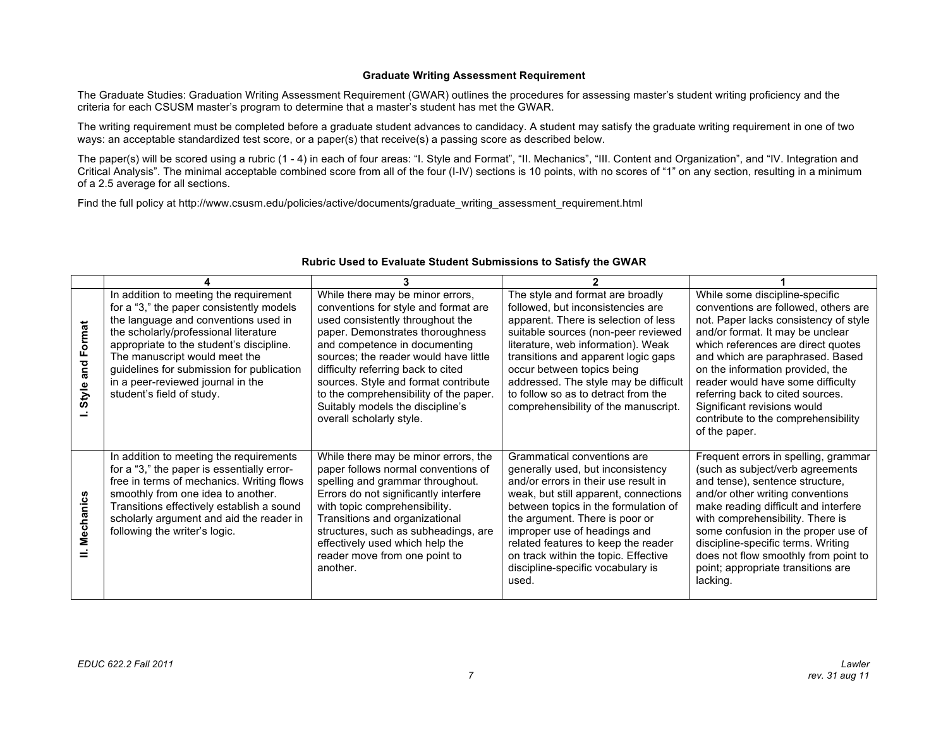#### **Graduate Writing Assessment Requirement**

 The Graduate Studies: Graduation Writing Assessment Requirement (GWAR) outlines the procedures for assessing master's student writing proficiency and the criteria for each CSUSM master's program to determine that a master's student has met the GWAR.

 The writing requirement must be completed before a graduate student advances to candidacy. A student may satisfy the graduate writing requirement in one of two ways: an acceptable standardized test score, or a paper(s) that receive(s) a passing score as described below.

 The paper(s) will be scored using a rubric (1 - 4) in each of four areas: "I. Style and Format", "II. Mechanics", "III. Content and Organization", and "IV. Integration and Critical Analysis". The minimal acceptable combined score from all of the four (I-IV) sections is 10 points, with no scores of "1" on any section, resulting in a minimum of a 2.5 average for all sections.

Find the full policy at http://www.csusm.edu/policies/active/documents/graduate\_writing\_assessment\_requirement.html

| Format<br>and<br>Style | In addition to meeting the requirement<br>for a "3," the paper consistently models<br>the language and conventions used in<br>the scholarly/professional literature<br>appropriate to the student's discipline.<br>The manuscript would meet the<br>guidelines for submission for publication<br>in a peer-reviewed journal in the<br>student's field of study. | While there may be minor errors,<br>conventions for style and format are<br>used consistently throughout the<br>paper. Demonstrates thoroughness<br>and competence in documenting<br>sources; the reader would have little<br>difficulty referring back to cited<br>sources. Style and format contribute<br>to the comprehensibility of the paper.<br>Suitably models the discipline's<br>overall scholarly style. | The style and format are broadly<br>followed, but inconsistencies are<br>apparent. There is selection of less<br>suitable sources (non-peer reviewed<br>literature, web information). Weak<br>transitions and apparent logic gaps<br>occur between topics being<br>addressed. The style may be difficult<br>to follow so as to detract from the<br>comprehensibility of the manuscript.  | While some discipline-specific<br>conventions are followed, others are<br>not. Paper lacks consistency of style<br>and/or format. It may be unclear<br>which references are direct quotes<br>and which are paraphrased. Based<br>on the information provided, the<br>reader would have some difficulty<br>referring back to cited sources.<br>Significant revisions would<br>contribute to the comprehensibility<br>of the paper. |
|------------------------|-----------------------------------------------------------------------------------------------------------------------------------------------------------------------------------------------------------------------------------------------------------------------------------------------------------------------------------------------------------------|--------------------------------------------------------------------------------------------------------------------------------------------------------------------------------------------------------------------------------------------------------------------------------------------------------------------------------------------------------------------------------------------------------------------|------------------------------------------------------------------------------------------------------------------------------------------------------------------------------------------------------------------------------------------------------------------------------------------------------------------------------------------------------------------------------------------|-----------------------------------------------------------------------------------------------------------------------------------------------------------------------------------------------------------------------------------------------------------------------------------------------------------------------------------------------------------------------------------------------------------------------------------|
| Mechanics              | In addition to meeting the requirements<br>for a "3," the paper is essentially error-<br>free in terms of mechanics. Writing flows<br>smoothly from one idea to another.<br>Transitions effectively establish a sound<br>scholarly argument and aid the reader in<br>following the writer's logic.                                                              | While there may be minor errors, the<br>paper follows normal conventions of<br>spelling and grammar throughout.<br>Errors do not significantly interfere<br>with topic comprehensibility.<br>Transitions and organizational<br>structures, such as subheadings, are<br>effectively used which help the<br>reader move from one point to<br>another.                                                                | Grammatical conventions are<br>generally used, but inconsistency<br>and/or errors in their use result in<br>weak, but still apparent, connections<br>between topics in the formulation of<br>the argument. There is poor or<br>improper use of headings and<br>related features to keep the reader<br>on track within the topic. Effective<br>discipline-specific vocabulary is<br>used. | Frequent errors in spelling, grammar<br>(such as subject/verb agreements<br>and tense), sentence structure,<br>and/or other writing conventions<br>make reading difficult and interfere<br>with comprehensibility. There is<br>some confusion in the proper use of<br>discipline-specific terms. Writing<br>does not flow smoothly from point to<br>point; appropriate transitions are<br>lacking.                                |

#### **Rubric Used to Evaluate Student Submissions to Satisfy the GWAR**